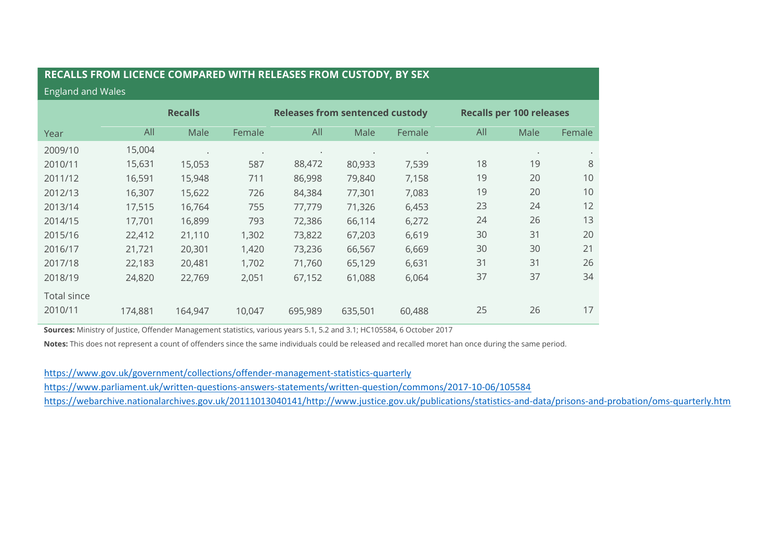## **RECALLS FROM LICENCE COMPARED WITH RELEASES FROM CUSTODY, BY SEX**

## England and Wales

|                               | <b>Recalls</b> |           |           | <b>Releases from sentenced custody</b> |         |        | <b>Recalls per 100 releases</b> |           |        |
|-------------------------------|----------------|-----------|-----------|----------------------------------------|---------|--------|---------------------------------|-----------|--------|
| Year                          | All            | Male      | Female    | All                                    | Male    | Female | All                             | Male      | Female |
| 2009/10                       | 15,004         | $\bullet$ | $\bullet$ | $\bullet$                              |         |        |                                 | $\bullet$ |        |
| 2010/11                       | 15,631         | 15,053    | 587       | 88,472                                 | 80,933  | 7,539  | 18                              | 19        | 8      |
| 2011/12                       | 16,591         | 15,948    | 711       | 86,998                                 | 79,840  | 7,158  | 19                              | 20        | 10     |
| 2012/13                       | 16,307         | 15,622    | 726       | 84,384                                 | 77,301  | 7,083  | 19                              | 20        | 10     |
| 2013/14                       | 17,515         | 16,764    | 755       | 77,779                                 | 71,326  | 6,453  | 23                              | 24        | 12     |
| 2014/15                       | 17,701         | 16,899    | 793       | 72,386                                 | 66,114  | 6,272  | 24                              | 26        | 13     |
| 2015/16                       | 22,412         | 21,110    | 1,302     | 73,822                                 | 67,203  | 6,619  | 30                              | 31        | 20     |
| 2016/17                       | 21,721         | 20,301    | 1,420     | 73,236                                 | 66,567  | 6,669  | 30                              | 30        | 21     |
| 2017/18                       | 22,183         | 20,481    | 1,702     | 71,760                                 | 65,129  | 6,631  | 31                              | 31        | 26     |
| 2018/19                       | 24,820         | 22,769    | 2,051     | 67,152                                 | 61,088  | 6,064  | 37                              | 37        | 34     |
| <b>Total since</b><br>2010/11 | 174,881        | 164,947   | 10,047    | 695,989                                | 635,501 | 60,488 | 25                              | 26        | 17     |

**Sources:** Ministry of Justice, Offender Management statistics, various years 5.1, 5.2 and 3.1; HC105584, 6 October 2017

**Notes:** This does not represent a count of offenders since the same individuals could be released and recalled moret han once during the same period.

<https://www.gov.uk/government/collections/offender-management-statistics-quarterly> <https://www.parliament.uk/written-questions-answers-statements/written-question/commons/2017-10-06/105584> [https://webarchive.nationalarchives.gov.uk/20111013040141/http://www.justice.gov.uk/publications/statistics-and-data/prisons-and-probation/oms-quarterly.htm](https://webarchive.nationalarchives.gov.uk/20111013040141/http:/www.justice.gov.uk/publications/statistics-and-data/prisons-and-probation/oms-quarterly.htm)